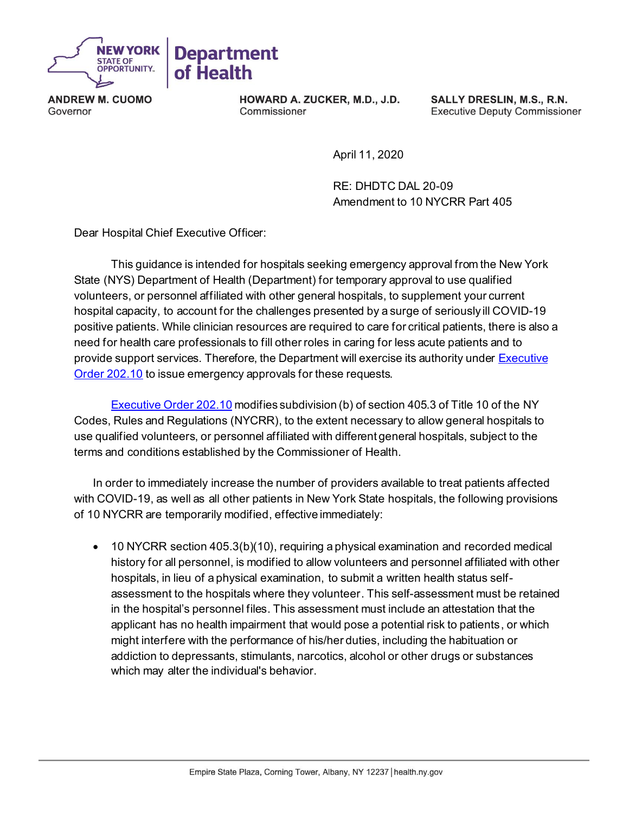

**ANDREW M. CUOMO** Governor

HOWARD A. ZUCKER, M.D., J.D. Commissioner

SALLY DRESLIN, M.S., R.N. **Executive Deputy Commissioner** 

April 11, 2020

RE: DHDTC DAL 20-09 Amendment to 10 NYCRR Part 405

Dear Hospital Chief Executive Officer:

This guidance is intended for hospitals seeking emergency approval from the New York State (NYS) Department of Health (Department) for temporary approval to use qualified volunteers, or personnel affiliated with other general hospitals, to supplement your current hospital capacity, to account for the challenges presented by a surge of seriously ill COVID-19 positive patients. While clinician resources are required to care for critical patients, there is also a need for health care professionals to fill other roles in caring for less acute patients and to provide support services. Therefore, the Department will exercise its authority unde[r Executive](https://www.governor.ny.gov/news/no-20210-continuing-temporary-suspension-and-modification-laws-relating-disaster-emergency)  [Order 202.10](https://www.governor.ny.gov/news/no-20210-continuing-temporary-suspension-and-modification-laws-relating-disaster-emergency) to issue emergency approvals for these requests.

[Executive Order 202.10](https://www.governor.ny.gov/news/no-20210-continuing-temporary-suspension-and-modification-laws-relating-disaster-emergency) modifies subdivision (b) of section 405.3 of Title 10 of the NY Codes, Rules and Regulations (NYCRR), to the extent necessary to allow general hospitals to use qualified volunteers, or personnel affiliated with different general hospitals, subject to the terms and conditions established by the Commissioner of Health.

In order to immediately increase the number of providers available to treat patients affected with COVID-19, as well as all other patients in New York State hospitals, the following provisions of 10 NYCRR are temporarily modified, effective immediately:

• 10 NYCRR section 405.3(b)(10), requiring a physical examination and recorded medical history for all personnel, is modified to allow volunteers and personnel affiliated with other hospitals, in lieu of a physical examination, to submit a written health status selfassessment to the hospitals where they volunteer. This self-assessment must be retained in the hospital's personnel files. This assessment must include an attestation that the applicant has no health impairment that would pose a potential risk to patients, or which might interfere with the performance of his/her duties, including the habituation or addiction to depressants, stimulants, narcotics, alcohol or other drugs or substances which may alter the individual's behavior.